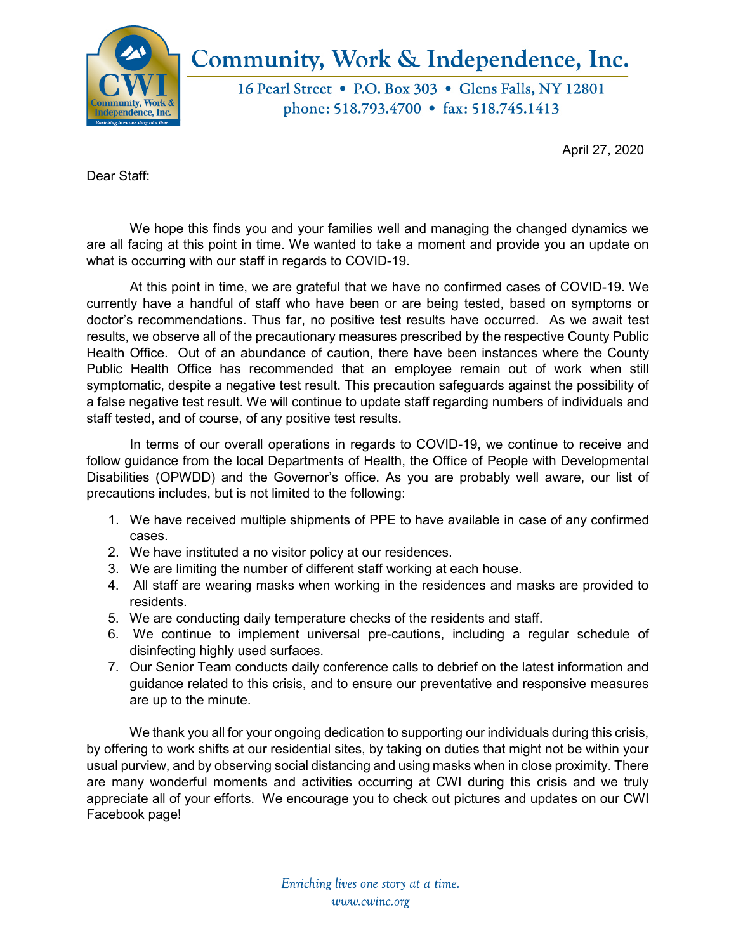

## Community, Work & Independence, Inc.

16 Pearl Street • P.O. Box 303 • Glens Falls, NY 12801 phone: 518.793.4700 • fax: 518.745.1413

April 27, 2020

Dear Staff:

We hope this finds you and your families well and managing the changed dynamics we are all facing at this point in time. We wanted to take a moment and provide you an update on what is occurring with our staff in regards to COVID-19.

At this point in time, we are grateful that we have no confirmed cases of COVID-19. We currently have a handful of staff who have been or are being tested, based on symptoms or doctor's recommendations. Thus far, no positive test results have occurred. As we await test results, we observe all of the precautionary measures prescribed by the respective County Public Health Office. Out of an abundance of caution, there have been instances where the County Public Health Office has recommended that an employee remain out of work when still symptomatic, despite a negative test result. This precaution safeguards against the possibility of a false negative test result. We will continue to update staff regarding numbers of individuals and staff tested, and of course, of any positive test results.

In terms of our overall operations in regards to COVID-19, we continue to receive and follow guidance from the local Departments of Health, the Office of People with Developmental Disabilities (OPWDD) and the Governor's office. As you are probably well aware, our list of precautions includes, but is not limited to the following:

- 1. We have received multiple shipments of PPE to have available in case of any confirmed cases.
- 2. We have instituted a no visitor policy at our residences.
- 3. We are limiting the number of different staff working at each house.
- 4. All staff are wearing masks when working in the residences and masks are provided to residents.
- 5. We are conducting daily temperature checks of the residents and staff.
- 6. We continue to implement universal pre-cautions, including a regular schedule of disinfecting highly used surfaces.
- 7. Our Senior Team conducts daily conference calls to debrief on the latest information and guidance related to this crisis, and to ensure our preventative and responsive measures are up to the minute.

We thank you all for your ongoing dedication to supporting our individuals during this crisis, by offering to work shifts at our residential sites, by taking on duties that might not be within your usual purview, and by observing social distancing and using masks when in close proximity. There are many wonderful moments and activities occurring at CWI during this crisis and we truly appreciate all of your efforts. We encourage you to check out pictures and updates on our CWI Facebook page!